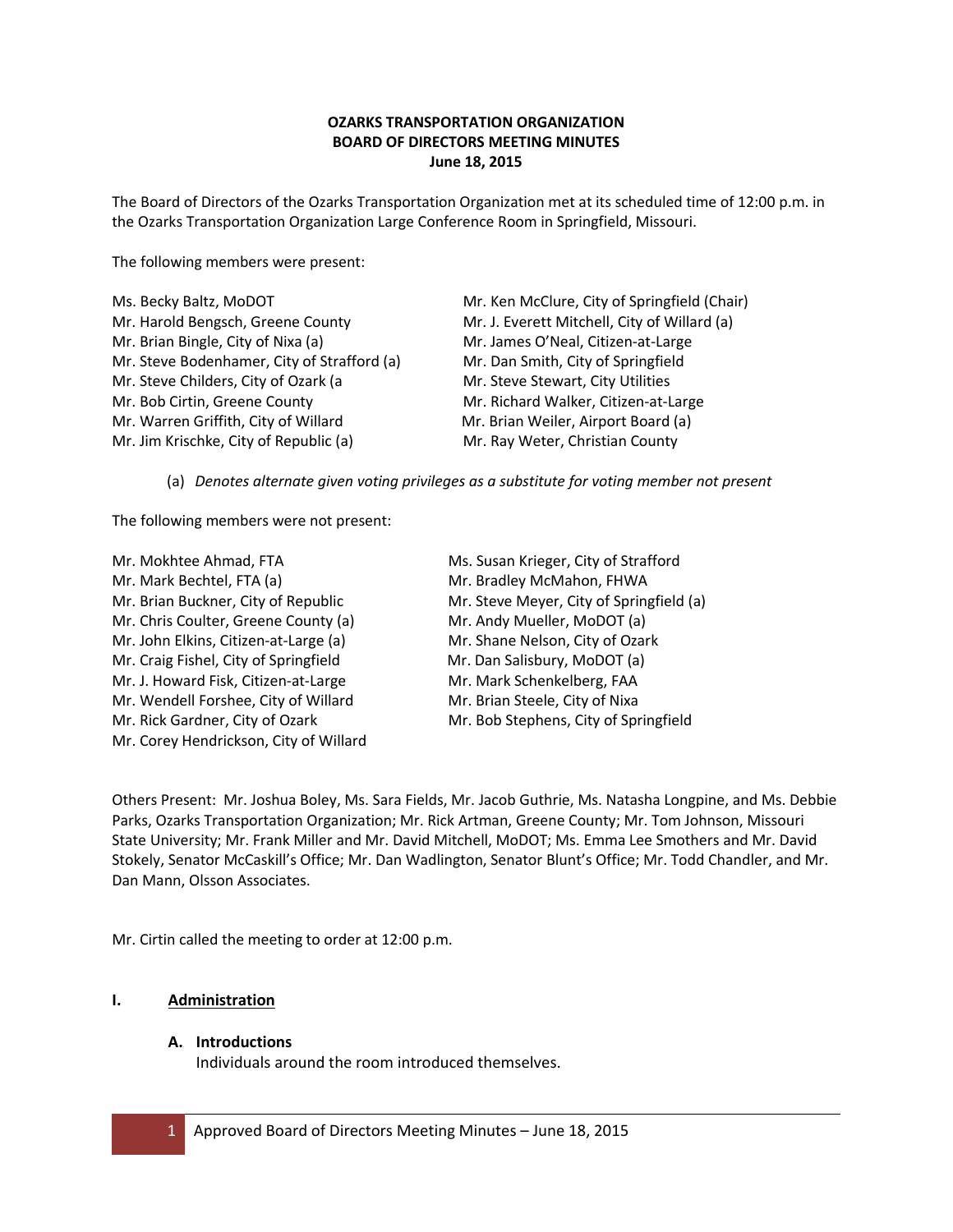# **OZARKS TRANSPORTATION ORGANIZATION BOARD OF DIRECTORS MEETING MINUTES June 18, 2015**

The Board of Directors of the Ozarks Transportation Organization met at its scheduled time of 12:00 p.m. in the Ozarks Transportation Organization Large Conference Room in Springfield, Missouri.

The following members were present:

| Ms. Becky Baltz, MoDOT                      | Mr. Ken McClure, City of Springfield (Chair) |
|---------------------------------------------|----------------------------------------------|
| Mr. Harold Bengsch, Greene County           | Mr. J. Everett Mitchell, City of Willard (a) |
| Mr. Brian Bingle, City of Nixa (a)          | Mr. James O'Neal, Citizen-at-Large           |
| Mr. Steve Bodenhamer, City of Strafford (a) | Mr. Dan Smith, City of Springfield           |
| Mr. Steve Childers, City of Ozark (a        | Mr. Steve Stewart, City Utilities            |
| Mr. Bob Cirtin, Greene County               | Mr. Richard Walker, Citizen-at-Large         |
| Mr. Warren Griffith, City of Willard        | Mr. Brian Weiler, Airport Board (a)          |
| Mr. Jim Krischke, City of Republic (a)      | Mr. Ray Weter, Christian County              |
|                                             |                                              |

(a) *Denotes alternate given voting privileges as a substitute for voting member not present*

The following members were not present:

| Ms. Susan Krieger, City of Strafford     |
|------------------------------------------|
| Mr. Bradley McMahon, FHWA                |
| Mr. Steve Meyer, City of Springfield (a) |
| Mr. Andy Mueller, MoDOT (a)              |
| Mr. Shane Nelson, City of Ozark          |
| Mr. Dan Salisbury, MoDOT (a)             |
| Mr. Mark Schenkelberg, FAA               |
| Mr. Brian Steele, City of Nixa           |
| Mr. Bob Stephens, City of Springfield    |
|                                          |
|                                          |

Others Present: Mr. Joshua Boley, Ms. Sara Fields, Mr. Jacob Guthrie, Ms. Natasha Longpine, and Ms. Debbie Parks, Ozarks Transportation Organization; Mr. Rick Artman, Greene County; Mr. Tom Johnson, Missouri State University; Mr. Frank Miller and Mr. David Mitchell, MoDOT; Ms. Emma Lee Smothers and Mr. David Stokely, Senator McCaskill's Office; Mr. Dan Wadlington, Senator Blunt's Office; Mr. Todd Chandler, and Mr. Dan Mann, Olsson Associates.

Mr. Cirtin called the meeting to order at 12:00 p.m.

# **I. Administration**

## **A. Introductions**

Individuals around the room introduced themselves.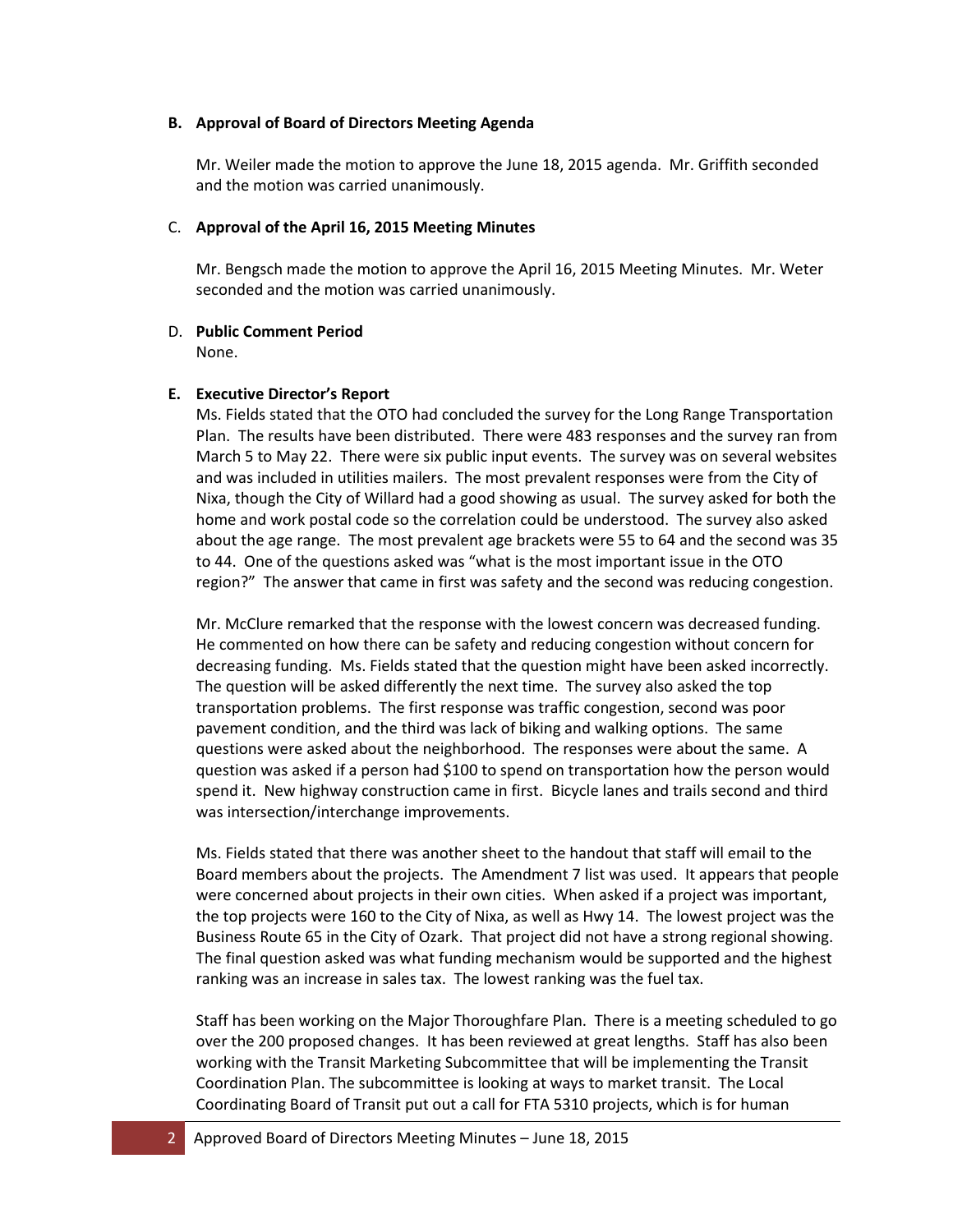### **B. Approval of Board of Directors Meeting Agenda**

Mr. Weiler made the motion to approve the June 18, 2015 agenda. Mr. Griffith seconded and the motion was carried unanimously.

### C. **Approval of the April 16, 2015 Meeting Minutes**

Mr. Bengsch made the motion to approve the April 16, 2015 Meeting Minutes. Mr. Weter seconded and the motion was carried unanimously.

### D. **Public Comment Period**

None.

## **E. Executive Director's Report**

Ms. Fields stated that the OTO had concluded the survey for the Long Range Transportation Plan. The results have been distributed. There were 483 responses and the survey ran from March 5 to May 22. There were six public input events. The survey was on several websites and was included in utilities mailers. The most prevalent responses were from the City of Nixa, though the City of Willard had a good showing as usual. The survey asked for both the home and work postal code so the correlation could be understood. The survey also asked about the age range. The most prevalent age brackets were 55 to 64 and the second was 35 to 44. One of the questions asked was "what is the most important issue in the OTO region?" The answer that came in first was safety and the second was reducing congestion.

Mr. McClure remarked that the response with the lowest concern was decreased funding. He commented on how there can be safety and reducing congestion without concern for decreasing funding. Ms. Fields stated that the question might have been asked incorrectly. The question will be asked differently the next time. The survey also asked the top transportation problems. The first response was traffic congestion, second was poor pavement condition, and the third was lack of biking and walking options. The same questions were asked about the neighborhood. The responses were about the same. A question was asked if a person had \$100 to spend on transportation how the person would spend it. New highway construction came in first. Bicycle lanes and trails second and third was intersection/interchange improvements.

Ms. Fields stated that there was another sheet to the handout that staff will email to the Board members about the projects. The Amendment 7 list was used. It appears that people were concerned about projects in their own cities. When asked if a project was important, the top projects were 160 to the City of Nixa, as well as Hwy 14. The lowest project was the Business Route 65 in the City of Ozark. That project did not have a strong regional showing. The final question asked was what funding mechanism would be supported and the highest ranking was an increase in sales tax. The lowest ranking was the fuel tax.

Staff has been working on the Major Thoroughfare Plan. There is a meeting scheduled to go over the 200 proposed changes. It has been reviewed at great lengths. Staff has also been working with the Transit Marketing Subcommittee that will be implementing the Transit Coordination Plan. The subcommittee is looking at ways to market transit. The Local Coordinating Board of Transit put out a call for FTA 5310 projects, which is for human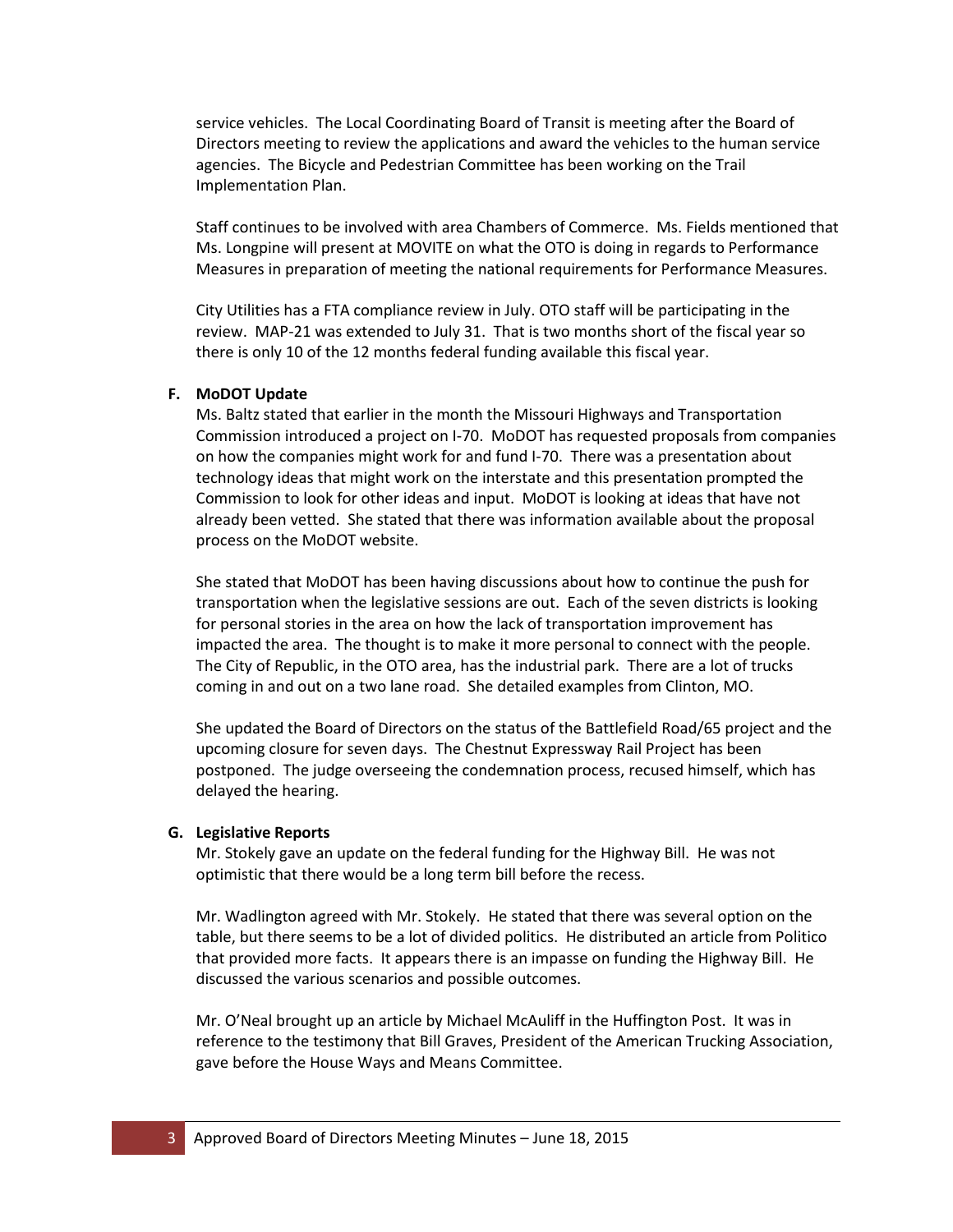service vehicles. The Local Coordinating Board of Transit is meeting after the Board of Directors meeting to review the applications and award the vehicles to the human service agencies. The Bicycle and Pedestrian Committee has been working on the Trail Implementation Plan.

Staff continues to be involved with area Chambers of Commerce. Ms. Fields mentioned that Ms. Longpine will present at MOVITE on what the OTO is doing in regards to Performance Measures in preparation of meeting the national requirements for Performance Measures.

City Utilities has a FTA compliance review in July. OTO staff will be participating in the review. MAP-21 was extended to July 31. That is two months short of the fiscal year so there is only 10 of the 12 months federal funding available this fiscal year.

#### **F. MoDOT Update**

Ms. Baltz stated that earlier in the month the Missouri Highways and Transportation Commission introduced a project on I-70. MoDOT has requested proposals from companies on how the companies might work for and fund I-70. There was a presentation about technology ideas that might work on the interstate and this presentation prompted the Commission to look for other ideas and input. MoDOT is looking at ideas that have not already been vetted. She stated that there was information available about the proposal process on the MoDOT website.

She stated that MoDOT has been having discussions about how to continue the push for transportation when the legislative sessions are out. Each of the seven districts is looking for personal stories in the area on how the lack of transportation improvement has impacted the area. The thought is to make it more personal to connect with the people. The City of Republic, in the OTO area, has the industrial park. There are a lot of trucks coming in and out on a two lane road. She detailed examples from Clinton, MO.

She updated the Board of Directors on the status of the Battlefield Road/65 project and the upcoming closure for seven days. The Chestnut Expressway Rail Project has been postponed. The judge overseeing the condemnation process, recused himself, which has delayed the hearing.

#### **G. Legislative Reports**

Mr. Stokely gave an update on the federal funding for the Highway Bill. He was not optimistic that there would be a long term bill before the recess.

Mr. Wadlington agreed with Mr. Stokely. He stated that there was several option on the table, but there seems to be a lot of divided politics. He distributed an article from Politico that provided more facts. It appears there is an impasse on funding the Highway Bill. He discussed the various scenarios and possible outcomes.

Mr. O'Neal brought up an article by Michael McAuliff in the Huffington Post. It was in reference to the testimony that Bill Graves, President of the American Trucking Association, gave before the House Ways and Means Committee.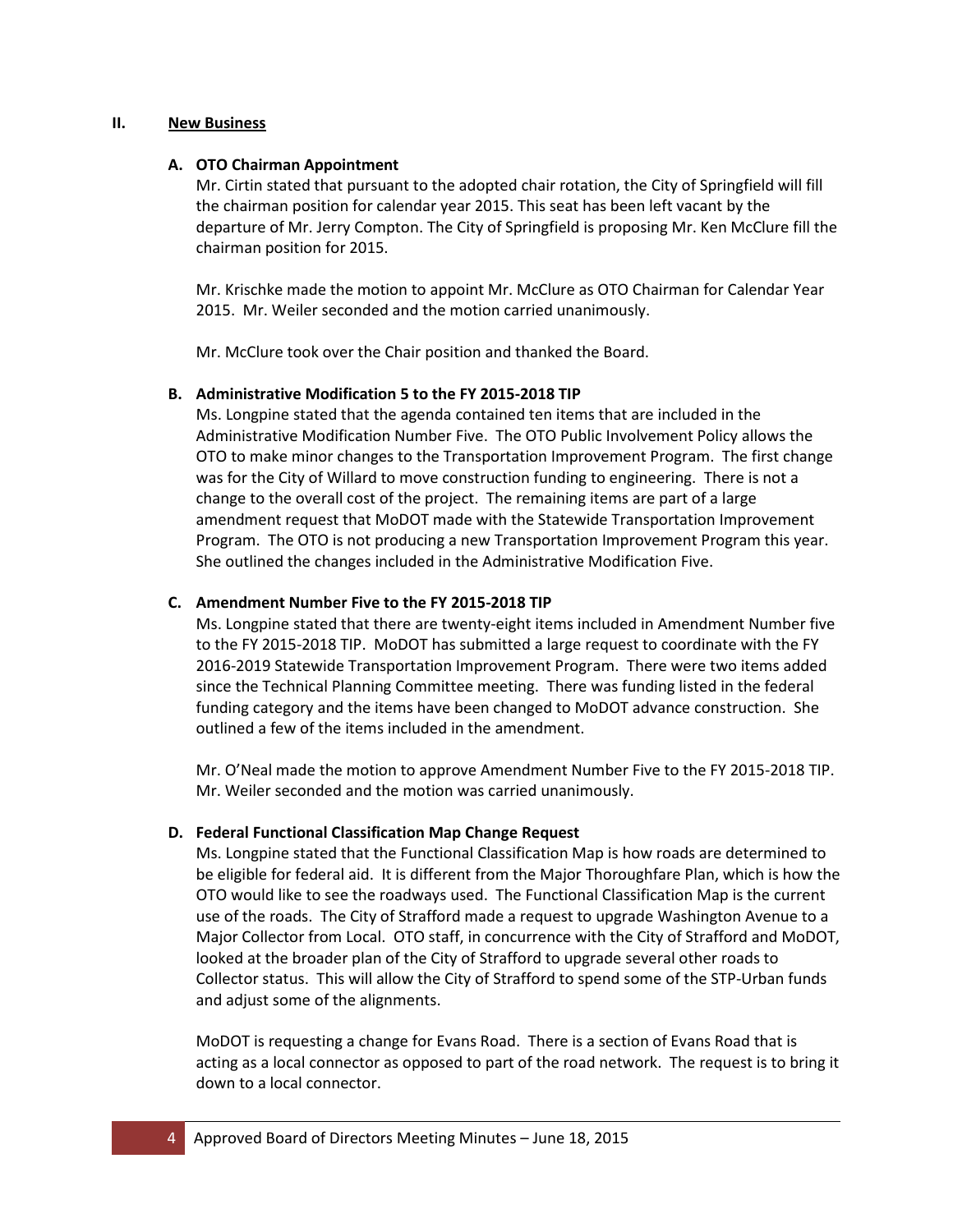### **II. New Business**

#### **A. OTO Chairman Appointment**

Mr. Cirtin stated that pursuant to the adopted chair rotation, the City of Springfield will fill the chairman position for calendar year 2015. This seat has been left vacant by the departure of Mr. Jerry Compton. The City of Springfield is proposing Mr. Ken McClure fill the chairman position for 2015.

Mr. Krischke made the motion to appoint Mr. McClure as OTO Chairman for Calendar Year 2015. Mr. Weiler seconded and the motion carried unanimously.

Mr. McClure took over the Chair position and thanked the Board.

#### **B. Administrative Modification 5 to the FY 2015-2018 TIP**

Ms. Longpine stated that the agenda contained ten items that are included in the Administrative Modification Number Five. The OTO Public Involvement Policy allows the OTO to make minor changes to the Transportation Improvement Program. The first change was for the City of Willard to move construction funding to engineering. There is not a change to the overall cost of the project. The remaining items are part of a large amendment request that MoDOT made with the Statewide Transportation Improvement Program. The OTO is not producing a new Transportation Improvement Program this year. She outlined the changes included in the Administrative Modification Five.

#### **C. Amendment Number Five to the FY 2015-2018 TIP**

Ms. Longpine stated that there are twenty-eight items included in Amendment Number five to the FY 2015-2018 TIP. MoDOT has submitted a large request to coordinate with the FY 2016-2019 Statewide Transportation Improvement Program. There were two items added since the Technical Planning Committee meeting. There was funding listed in the federal funding category and the items have been changed to MoDOT advance construction. She outlined a few of the items included in the amendment.

Mr. O'Neal made the motion to approve Amendment Number Five to the FY 2015-2018 TIP. Mr. Weiler seconded and the motion was carried unanimously.

#### **D. Federal Functional Classification Map Change Request**

Ms. Longpine stated that the Functional Classification Map is how roads are determined to be eligible for federal aid. It is different from the Major Thoroughfare Plan, which is how the OTO would like to see the roadways used. The Functional Classification Map is the current use of the roads. The City of Strafford made a request to upgrade Washington Avenue to a Major Collector from Local. OTO staff, in concurrence with the City of Strafford and MoDOT, looked at the broader plan of the City of Strafford to upgrade several other roads to Collector status. This will allow the City of Strafford to spend some of the STP-Urban funds and adjust some of the alignments.

MoDOT is requesting a change for Evans Road. There is a section of Evans Road that is acting as a local connector as opposed to part of the road network. The request is to bring it down to a local connector.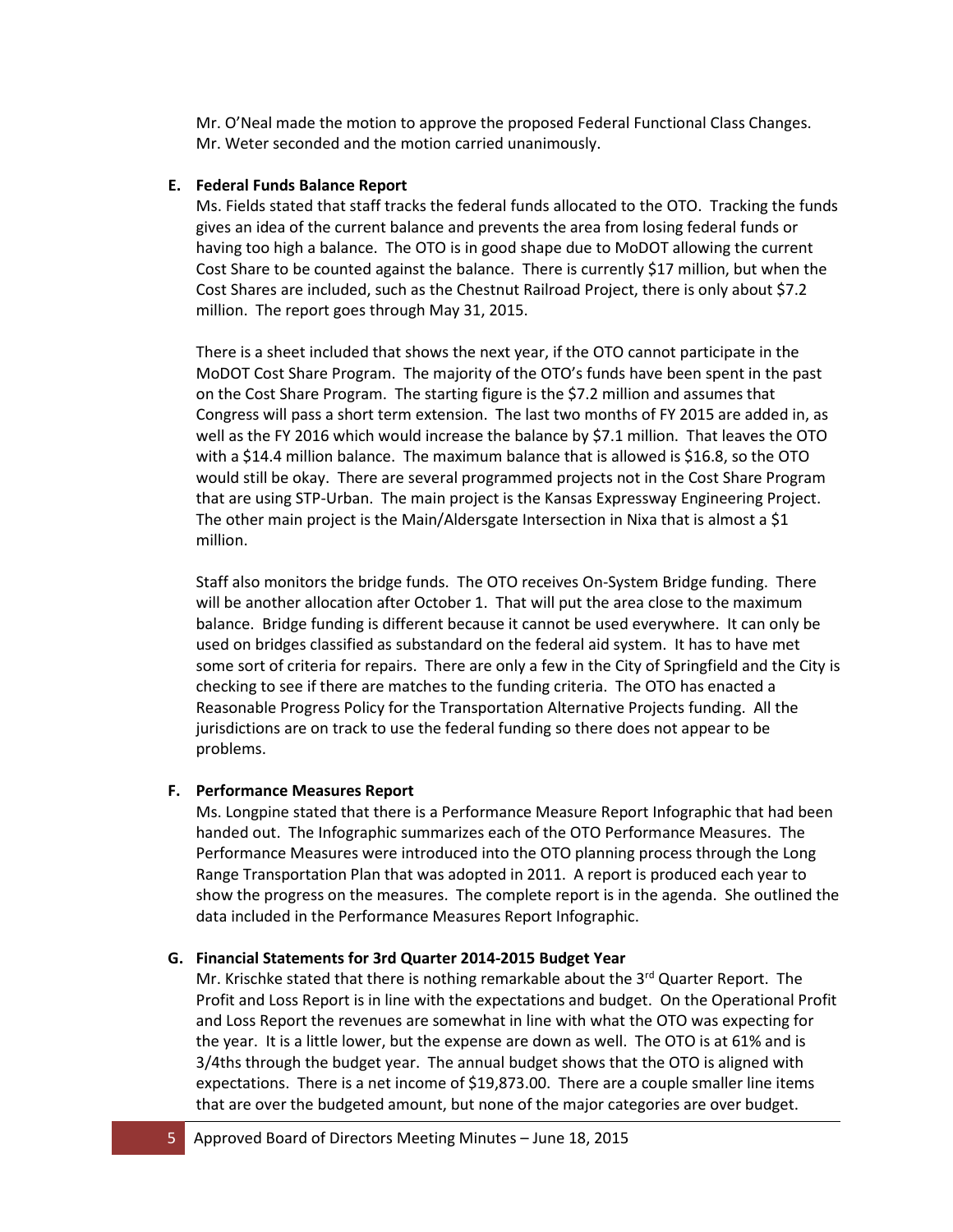Mr. O'Neal made the motion to approve the proposed Federal Functional Class Changes. Mr. Weter seconded and the motion carried unanimously.

### **E. Federal Funds Balance Report**

Ms. Fields stated that staff tracks the federal funds allocated to the OTO. Tracking the funds gives an idea of the current balance and prevents the area from losing federal funds or having too high a balance. The OTO is in good shape due to MoDOT allowing the current Cost Share to be counted against the balance. There is currently \$17 million, but when the Cost Shares are included, such as the Chestnut Railroad Project, there is only about \$7.2 million. The report goes through May 31, 2015.

There is a sheet included that shows the next year, if the OTO cannot participate in the MoDOT Cost Share Program. The majority of the OTO's funds have been spent in the past on the Cost Share Program. The starting figure is the \$7.2 million and assumes that Congress will pass a short term extension. The last two months of FY 2015 are added in, as well as the FY 2016 which would increase the balance by \$7.1 million. That leaves the OTO with a \$14.4 million balance. The maximum balance that is allowed is \$16.8, so the OTO would still be okay. There are several programmed projects not in the Cost Share Program that are using STP-Urban. The main project is the Kansas Expressway Engineering Project. The other main project is the Main/Aldersgate Intersection in Nixa that is almost a \$1 million.

Staff also monitors the bridge funds. The OTO receives On-System Bridge funding. There will be another allocation after October 1. That will put the area close to the maximum balance. Bridge funding is different because it cannot be used everywhere. It can only be used on bridges classified as substandard on the federal aid system. It has to have met some sort of criteria for repairs. There are only a few in the City of Springfield and the City is checking to see if there are matches to the funding criteria. The OTO has enacted a Reasonable Progress Policy for the Transportation Alternative Projects funding. All the jurisdictions are on track to use the federal funding so there does not appear to be problems.

## **F. Performance Measures Report**

Ms. Longpine stated that there is a Performance Measure Report Infographic that had been handed out. The Infographic summarizes each of the OTO Performance Measures. The Performance Measures were introduced into the OTO planning process through the Long Range Transportation Plan that was adopted in 2011. A report is produced each year to show the progress on the measures. The complete report is in the agenda. She outlined the data included in the Performance Measures Report Infographic.

## **G. Financial Statements for 3rd Quarter 2014-2015 Budget Year**

Mr. Krischke stated that there is nothing remarkable about the  $3<sup>rd</sup>$  Quarter Report. The Profit and Loss Report is in line with the expectations and budget. On the Operational Profit and Loss Report the revenues are somewhat in line with what the OTO was expecting for the year. It is a little lower, but the expense are down as well. The OTO is at 61% and is 3/4ths through the budget year. The annual budget shows that the OTO is aligned with expectations. There is a net income of \$19,873.00. There are a couple smaller line items that are over the budgeted amount, but none of the major categories are over budget.